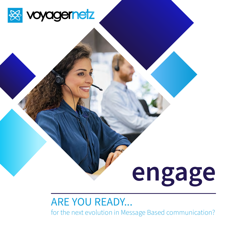

# **engage**

### ARE YOU READY...

for the next evolution in Message Based communication?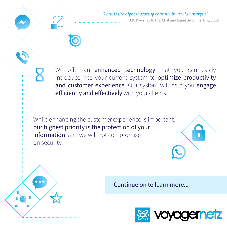#### "chat is the highest-scoring channel by a wide margin."

J.D. Power 2016 U.S. Chat and Email Benchmarking Study

We offer an **enhanced technology** that you can easily introduce into your current system to **optimize productivity** and customer experience. Our system will help you engage efficiently and effectively with your clients.

While enhancing the customer experience is important, our highest priority is the protection of your information, and we will not compromise on security.

Continue on to learn more...

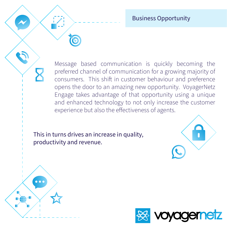Business Opportunity

Message based communication is quickly becoming the preferred channel of communication for a growing majority of consumers. This shift in customer behaviour and preference opens the door to an amazing new opportunity. VoyagerNetz Engage takes advantage of that opportunity using a unique and enhanced technology to not only increase the customer experience but also the effectiveness of agents.

This in turns drives an increase in quality, productivity and revenue.





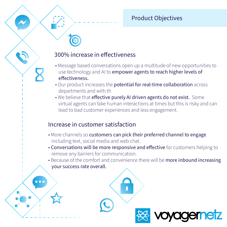#### Product Objectives

#### 300% increase in effectiveness

- Message based conversations open up a multitude of new opportunities to use technology and AI to empower agents to reach higher levels of effectiveness.
- Our product increases the potential for real-time collaboration across departments and with th
- We believe that effective purely AI driven agents do not exist. Some virtual agents can fake human interactions at times but this is risky and can lead to bad customer experiences and less engagement.

#### Increase in customer satisfaction

 $\bullet$   $\bullet$   $\bullet$ 

- More channels so customers can pick their preferred channel to engage including text, social media and web chat.
- Conversations will be more responsive and effective for customers helping to remove any barriers for communication.
- Because of the comfort and convenience there will be more inbound increasing your success rate overall.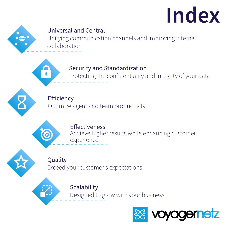# **Index**



### Universal and Central

Unifying communication channels and improving internal collaboration

Security and Standardization

Protecting the confidentiality and integrity of your data

Efficiency Optimize agent and team productivity

> **Effectiveness** Achieve higher results while enhancing customer experience

Quality

Exceed your customer's expectations

Scalability Designed to grow with your business

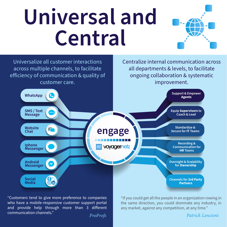## **Universal and Central**





"Customers tend to give more preference to companies who have a mobile-responsive customer support portal and provide help through more than 3 different communication channels."  $ProProfs$ 

"If you could get all the people in an organization rowing in the same direction, you could dominate any industry, in any market, against any competition, at any time."

**Patrick Lencioni**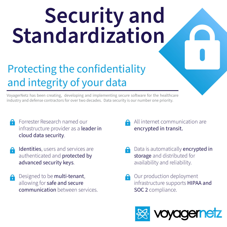# **Security and Standardization**

### Protecting the confidentiality and integrity of your data

VoyagerNetz has been creating, developing and implementing secure software for the healthcare industry and defense contractors for over two decades. Data security is our number one priority.

- Forrester Research named our infrastructure provider as a leader in cloud data security.
- Identities, users and services are A authenticated and protected by advanced security keys.
- Designed to be multi-tenant, allowing for safe and secure communication between services.
- All internet communication are encrypted in transit.
- Data is automatically **encrypted in** storage and distributed for availability and reliability.
- Our production deployment infrastructure supports HIPAA and SOC 2 compliance.

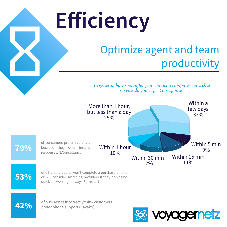# **E!iciency**

### Optimize agent and team productivity

In general, how soon after you contact a company via a chat  $s$ ervice do you expect a response?



**53%**

**42%**

or will consider switching providers if they don't find quick answers right away. (Forrester)

of businesses incorrectly think customers prefer phone support (Kayako)

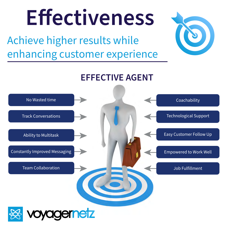# **E!ectiveness**

Achieve higher results while enhancing customer experience



**EFFECTIVE AGENT**

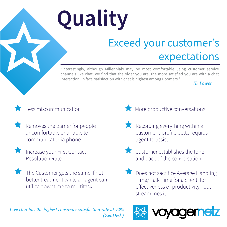# **Quality**

### Exceed your customer's expectations

"Interestingly, although Millennials may be most comfortable using customer service channels like chat, we find that the older you are, the more satisfied you are with a chat interaction. In fact, satisfaction with chat is highest among Boomers."

#### *ID Power*

### Less miscommunication

- Removes the barrier for people uncomfortable or unable to communicate via phone
- - Increase your First Contact Resolution Rate
	- The Customer gets the same if not better treatment while an agent can utilize downtime to multitask
- $\blacksquare$  More productive conversations
- Recording everything within a customer's profile better equips agent to assist
- **Customer establishes the tone** and pace of the conversation
- Does not sacrifice Average Handling Time/ Talk Time for a client, for effectiveness or productivity - but streamlines it.



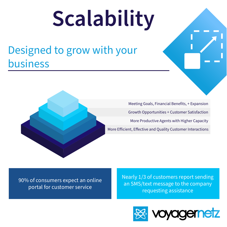# **Scalability**

### Designed to grow with your business



More Efficient, Effective and Quality Customer Interactions Meeting Goals, Financial Benefits, + Expansion Growth Opportunities + Customer Satisfaction More Productive Agents with Higher Capacity

90% of consumers expect an online portal for customer service

Nearly 1/3 of customers report sending an SMS/text message to the company requesting assistance